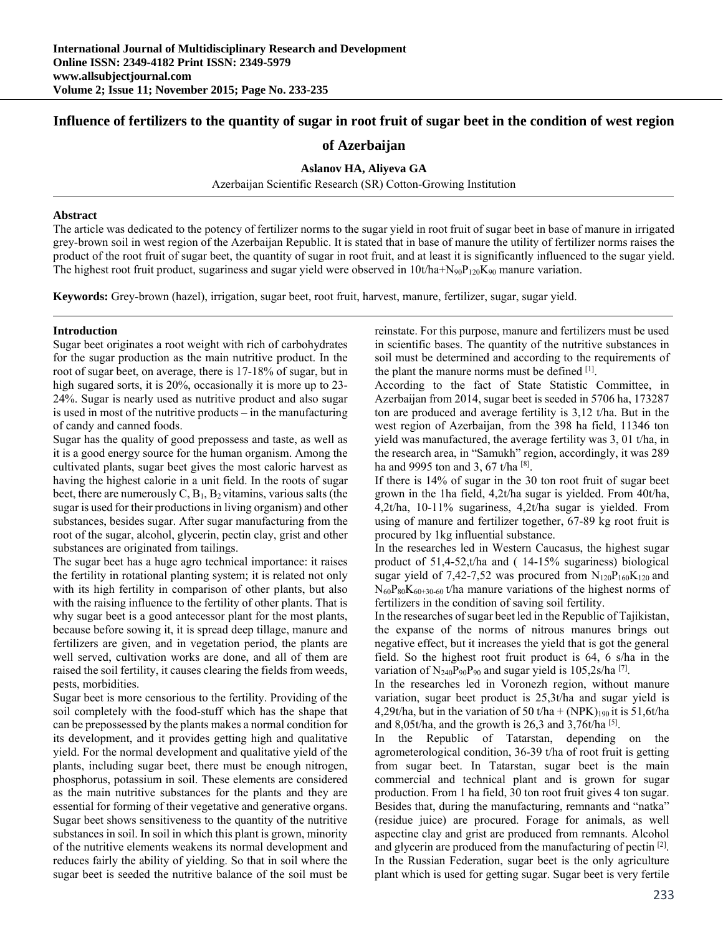# **Influence of fertilizers to the quantity of sugar in root fruit of sugar beet in the condition of west region**

## **of Azerbaijan**

**Aslanov HA, Aliyeva GA** 

Azerbaijan Scientific Research (SR) Cotton-Growing Institution

#### **Abstract**

The article was dedicated to the potency of fertilizer norms to the sugar yield in root fruit of sugar beet in base of manure in irrigated grey-brown soil in west region of the Azerbaijan Republic. It is stated that in base of manure the utility of fertilizer norms raises the product of the root fruit of sugar beet, the quantity of sugar in root fruit, and at least it is significantly influenced to the sugar yield. The highest root fruit product, sugariness and sugar yield were observed in  $10t/ha+Ng_0P_{120}K_{90}$  manure variation.

**Keywords:** Grey-brown (hazel), irrigation, sugar beet, root fruit, harvest, manure, fertilizer, sugar, sugar yield.

### **Introduction**

Sugar beet originates a root weight with rich of carbohydrates for the sugar production as the main nutritive product. In the root of sugar beet, on average, there is 17-18% of sugar, but in high sugared sorts, it is 20%, occasionally it is more up to 23- 24%. Sugar is nearly used as nutritive product and also sugar is used in most of the nutritive products – in the manufacturing of candy and canned foods.

Sugar has the quality of good prepossess and taste, as well as it is a good energy source for the human organism. Among the cultivated plants, sugar beet gives the most caloric harvest as having the highest calorie in a unit field. In the roots of sugar beet, there are numerously  $C$ ,  $B_1$ ,  $B_2$  vitamins, various salts (the sugar is used for their productions in living organism) and other substances, besides sugar. After sugar manufacturing from the root of the sugar, alcohol, glycerin, pectin clay, grist and other substances are originated from tailings.

The sugar beet has a huge agro technical importance: it raises the fertility in rotational planting system; it is related not only with its high fertility in comparison of other plants, but also with the raising influence to the fertility of other plants. That is why sugar beet is a good antecessor plant for the most plants, because before sowing it, it is spread deep tillage, manure and fertilizers are given, and in vegetation period, the plants are well served, cultivation works are done, and all of them are raised the soil fertility, it causes clearing the fields from weeds, pests, morbidities.

Sugar beet is more censorious to the fertility. Providing of the soil completely with the food-stuff which has the shape that can be prepossessed by the plants makes a normal condition for its development, and it provides getting high and qualitative yield. For the normal development and qualitative yield of the plants, including sugar beet, there must be enough nitrogen, phosphorus, potassium in soil. These elements are considered as the main nutritive substances for the plants and they are essential for forming of their vegetative and generative organs. Sugar beet shows sensitiveness to the quantity of the nutritive substances in soil. In soil in which this plant is grown, minority of the nutritive elements weakens its normal development and reduces fairly the ability of yielding. So that in soil where the sugar beet is seeded the nutritive balance of the soil must be reinstate. For this purpose, manure and fertilizers must be used in scientific bases. The quantity of the nutritive substances in soil must be determined and according to the requirements of the plant the manure norms must be defined [1].

According to the fact of State Statistic Committee, in Azerbaijan from 2014, sugar beet is seeded in 5706 ha, 173287 ton are produced and average fertility is 3,12 t/ha. But in the west region of Azerbaijan, from the 398 ha field, 11346 ton yield was manufactured, the average fertility was 3, 01 t/ha, in the research area, in "Samukh" region, accordingly, it was 289 ha and 9995 ton and 3, 67 t/ha [8].

If there is 14% of sugar in the 30 ton root fruit of sugar beet grown in the 1ha field, 4,2t/ha sugar is yielded. From 40t/ha, 4,2t/ha, 10-11% sugariness, 4,2t/ha sugar is yielded. From using of manure and fertilizer together, 67-89 kg root fruit is procured by 1kg influential substance.

In the researches led in Western Caucasus, the highest sugar product of 51,4-52,t/ha and ( 14-15% sugariness) biological sugar yield of 7,42-7,52 was procured from  $N_{120}P_{160}K_{120}$  and  $N_{60}P_{80}K_{60+30-60}$  t/ha manure variations of the highest norms of fertilizers in the condition of saving soil fertility.

In the researches of sugar beet led in the Republic of Tajikistan, the expanse of the norms of nitrous manures brings out negative effect, but it increases the yield that is got the general field. So the highest root fruit product is 64, 6 s/ha in the variation of  $N_{240}P_{90}P_{90}$  and sugar yield is 105,2s/ha <sup>[7]</sup>.

In the researches led in Voronezh region, without manure variation, sugar beet product is 25,3t/ha and sugar yield is 4,29t/ha, but in the variation of 50 t/ha + (NPK)<sub>190</sub> it is 51,6t/ha and 8,05t/ha, and the growth is  $26,3$  and  $3,76t/ha$  [5].

In the Republic of Tatarstan, depending on the agrometerological condition, 36-39 t/ha of root fruit is getting from sugar beet. In Tatarstan, sugar beet is the main commercial and technical plant and is grown for sugar production. From 1 ha field, 30 ton root fruit gives 4 ton sugar. Besides that, during the manufacturing, remnants and "natka" (residue juice) are procured. Forage for animals, as well aspectine clay and grist are produced from remnants. Alcohol and glycerin are produced from the manufacturing of pectin [2]. In the Russian Federation, sugar beet is the only agriculture plant which is used for getting sugar. Sugar beet is very fertile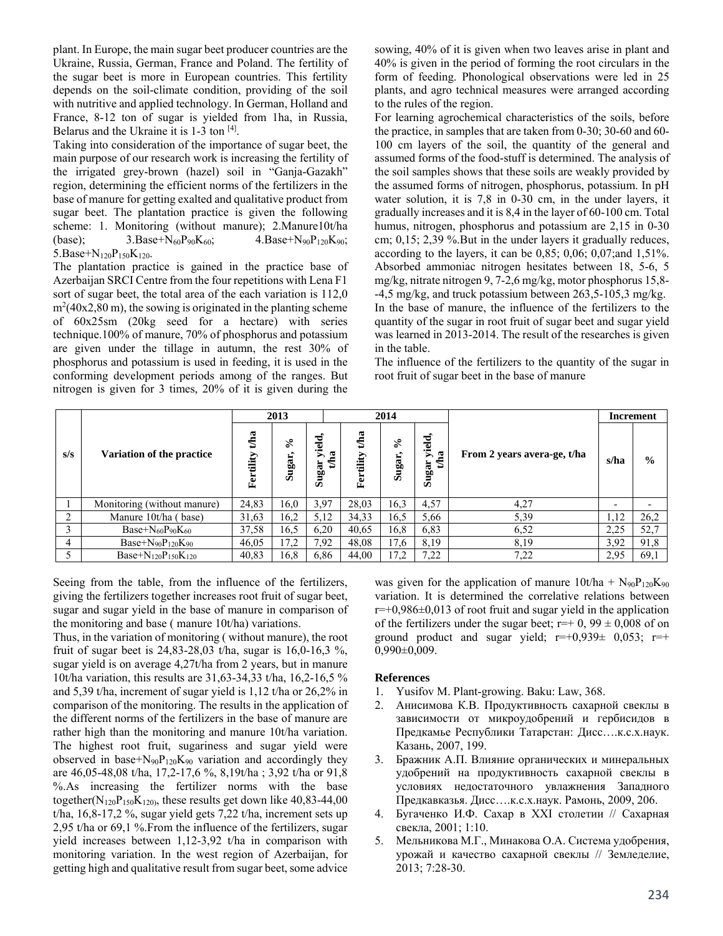plant. In Europe, the main sugar beet producer countries are the Ukraine, Russia, German, France and Poland. The fertility of the sugar beet is more in European countries. This fertility depends on the soil-climate condition, providing of the soil with nutritive and applied technology. In German, Holland and France, 8-12 ton of sugar is yielded from 1ha, in Russia, Belarus and the Ukraine it is 1-3 ton [4].

Taking into consideration of the importance of sugar beet, the main purpose of our research work is increasing the fertility of the irrigated grey-brown (hazel) soil in "Ganja-Gazakh" region, determining the efficient norms of the fertilizers in the base of manure for getting exalted and qualitative product from sugar beet. The plantation practice is given the following scheme: 1. Monitoring (without manure); 2.Manure10t/ha (base);  $3.Base+N_{60}P_{90}K_{60}$ ;  $4.Base+N_{90}P_{120}K_{90}$ ; 5.Base+ $N_{120}P_{150}K_{120}$ .

The plantation practice is gained in the practice base of Azerbaijan SRCI Centre from the four repetitions with Lena F1 sort of sugar beet, the total area of the each variation is 112,0  $m<sup>2</sup>(40x2,80 m)$ , the sowing is originated in the planting scheme of 60x25sm (20kg seed for a hectare) with series technique.100% of manure, 70% of phosphorus and potassium are given under the tillage in autumn, the rest 30% of phosphorus and potassium is used in feeding, it is used in the conforming development periods among of the ranges. But nitrogen is given for 3 times, 20% of it is given during the sowing, 40% of it is given when two leaves arise in plant and 40% is given in the period of forming the root circulars in the form of feeding. Phonological observations were led in 25 plants, and agro technical measures were arranged according to the rules of the region.

For learning agrochemical characteristics of the soils, before the practice, in samples that are taken from 0-30; 30-60 and 60- 100 cm layers of the soil, the quantity of the general and assumed forms of the food-stuff is determined. The analysis of the soil samples shows that these soils are weakly provided by the assumed forms of nitrogen, phosphorus, potassium. In pH water solution, it is 7,8 in 0-30 cm, in the under layers, it gradually increases and it is 8,4 in the layer of 60-100 cm. Total humus, nitrogen, phosphorus and potassium are 2,15 in 0-30 cm; 0,15; 2,39 %.But in the under layers it gradually reduces, according to the layers, it can be 0,85; 0,06; 0,07;and 1,51%. Absorbed ammoniac nitrogen hesitates between 18, 5-6, 5 mg/kg, nitrate nitrogen 9, 7-2,6 mg/kg, motor phosphorus 15,8- -4,5 mg/kg, and truck potassium between 263,5-105,3 mg/kg. In the base of manure, the influence of the fertilizers to the quantity of the sugar in root fruit of sugar beet and sugar yield was learned in 2013-2014. The result of the researches is given in the table.

The influence of the fertilizers to the quantity of the sugar in root fruit of sugar beet in the base of manure

|     |                               | 2013             |                                      |                      |                      | 2014                     |                        |                             | Increment                |                          |
|-----|-------------------------------|------------------|--------------------------------------|----------------------|----------------------|--------------------------|------------------------|-----------------------------|--------------------------|--------------------------|
| s/s | Variation of the practice     | tha<br>Fertility | $\mathcal{E}$<br>$\bullet$<br>Sugar, | yield.<br>ದ<br>Sugar | Aaa<br>tility<br>Fer | ళ<br>$\bullet$<br>Sugar, | yield,<br>tha<br>Sugar | From 2 years avera-ge, t/ha | s/ha                     | $\frac{0}{0}$            |
|     | Monitoring (without manure)   | 24,83            | 16,0                                 | 3.97                 | 28,03                | 16,3                     | 4,57                   | 4,27                        | $\overline{\phantom{0}}$ | $\overline{\phantom{0}}$ |
|     | Manure 10t/ha (base)          | 31,63            | 16,2                                 | 5,12                 | 34,33                | 16,5                     | 5,66                   | 5,39                        | 1,12                     | 26,2                     |
|     | Base+ $N_{60}P_{90}K_{60}$    | 37,58            | 16,5                                 | 6,20                 | 40,65                | 16,8                     | 6,83                   | 6,52                        | 2,25                     | 52,7                     |
| 4   | Base+ $N_{90}P_{120}K_{90}$   | 46,05            | 17,2                                 | 7,92                 | 48,08                | 17,6                     | 8,19                   | 8,19                        | 3,92                     | 91,8                     |
|     | Base+ $N_{120}P_{150}K_{120}$ | 40,83            | 16,8                                 | 6,86                 | 44,00                | 17,2                     | 7,22                   | 7,22                        | 2,95                     | 69,1                     |

Seeing from the table, from the influence of the fertilizers, giving the fertilizers together increases root fruit of sugar beet, sugar and sugar yield in the base of manure in comparison of the monitoring and base ( manure 10t/ha) variations.

Thus, in the variation of monitoring ( without manure), the root fruit of sugar beet is 24,83-28,03 t/ha, sugar is 16,0-16,3 %, sugar yield is on average 4,27t/ha from 2 years, but in manure 10t/ha variation, this results are 31,63-34,33 t/ha, 16,2-16,5 % and 5,39 t/ha, increment of sugar yield is 1,12 t/ha or 26,2% in comparison of the monitoring. The results in the application of the different norms of the fertilizers in the base of manure are rather high than the monitoring and manure 10t/ha variation. The highest root fruit, sugariness and sugar yield were observed in base+ $N_{90}P_{120}K_{90}$  variation and accordingly they are 46,05-48,08 t/ha, 17,2-17,6 %, 8,19t/ha ; 3,92 t/ha or 91,8 %.As increasing the fertilizer norms with the base together( $N_{120}P_{150}K_{120}$ , these results get down like 40,83-44,00 t/ha,  $16,8-17,2\%$ , sugar yield gets 7,22 t/ha, increment sets up 2,95 t/ha or 69,1 %.From the influence of the fertilizers, sugar yield increases between 1,12-3,92 t/ha in comparison with monitoring variation. In the west region of Azerbaijan, for getting high and qualitative result from sugar beet, some advice

was given for the application of manure  $10t/ha + N_{90}P_{120}K_{90}$ variation. It is determined the correlative relations between  $r=+0.986\pm0.013$  of root fruit and sugar yield in the application of the fertilizers under the sugar beet;  $r=+0$ ,  $99 \pm 0,008$  of on ground product and sugar yield;  $r=+0.939\pm 0.053$ ;  $r=+$ 0,990±0,009.

#### **References**

- 1. Yusifov M. Plant-growing. Baku: Law, 368.
- 2. Анисимова К.В. Продуктивность сахарной свеклы в зависимости от микроудобрений и гербисидов в Предкамье Республики Татарстан: Дисс….к.с.х.наук. Казань, 2007, 199.
- 3. Бражник А.П. Влияние органических и минеральных удобрений на продуктивность сахарной свеклы в условиях недостаточного увлажнения Западного Предкавказья. Дисс….к.с.х.наук. Рамонь, 2009, 206.
- 4. Бугаченко И.Ф. Сахар в XXI столетии // Сахарная свекла, 2001; 1:10.
- 5. Мельникова М.Г., Минакова О.А. Система удобрения, урожай и качество сахарной свеклы // Земледелие, 2013; 7:28-30.